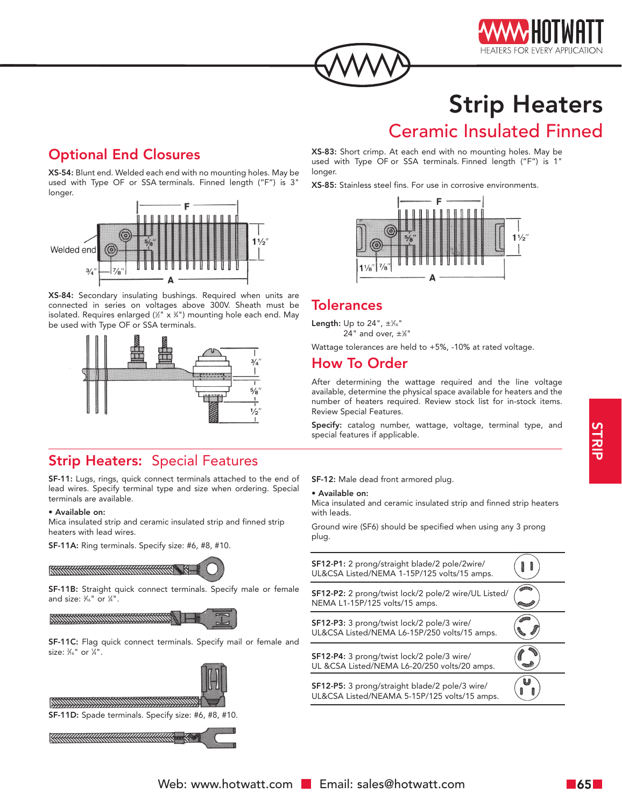



# Strip Heaters

## Ceramic Insulated Finned

## Optional End Closures

XS-54: Blunt end. Welded each end with no mounting holes. May be used with Type OF or SSA terminals. Finned length ("F") is 3" longer.



XS-84: Secondary insulating bushings. Required when units are connected in series on voltages above 300V. Sheath must be isolated. Requires enlarged (1 ⁄2" x 3 ⁄4") mounting hole each end. May be used with Type OF or SSA terminals.



## **Strip Heaters: Special Features**

SF-11: Lugs, rings, quick connect terminals attached to the end of lead wires. Specify terminal type and size when ordering. Special terminals are available.

#### • Available on:

Mica insulated strip and ceramic insulated strip and finned strip heaters with lead wires.

SF-11A: Ring terminals. Specify size: #6, #8, #10.



SF-11B: Straight quick connect terminals. Specify male or female and size:  $\frac{3}{6}$ " or  $\frac{1}{4}$ ".



SF-11C: Flag quick connect terminals. Specify mail or female and size: 3 ⁄16" or 1 ⁄4".



SF-11D: Spade terminals. Specify size: #6, #8, #10.



XS-83: Short crimp. At each end with no mounting holes. May be used with Type OF or SSA terminals. Finned length ("F") is 1" longer.

XS-85: Stainless steel fins. For use in corrosive environments.



### **Tolerances**

**Length:** Up to 24",  $\pm\frac{1}{6}$ " 24" and over,  $\pm\frac{1}{8}$ "

Wattage tolerances are held to +5%, -10% at rated voltage.

## How To Order

After determining the wattage required and the line voltage available, determine the physical space available for heaters and the number of heaters required. Review stock list for in-stock items. Review Special Features.

Specify: catalog number, wattage, voltage, terminal type, and special features if applicable.

SF-12: Male dead front armored plug.

#### • Available on:

Mica insulated and ceramic insulated strip and finned strip heaters with leads.

Ground wire (SF6) should be specified when using any 3 prong plug.

| SF12-P1: 2 prong/straight blade/2 pole/2wire/<br>UL&CSA Listed/NEMA 1-15P/125 volts/15 amps.   |  |
|------------------------------------------------------------------------------------------------|--|
| SF12-P2: 2 prong/twist lock/2 pole/2 wire/UL Listed/<br>NEMA L1-15P/125 volts/15 amps.         |  |
| SF12-P3: 3 prong/twist lock/2 pole/3 wire/<br>UL&CSA Listed/NEMA L6-15P/250 volts/15 amps.     |  |
| SF12-P4: 3 prong/twist lock/2 pole/3 wire/<br>UL &CSA Listed/NEMA L6-20/250 volts/20 amps.     |  |
| SF12-P5: 3 prong/straight blade/2 pole/3 wire/<br>UL&CSA Listed/NEAMA 5-15P/125 volts/15 amps. |  |